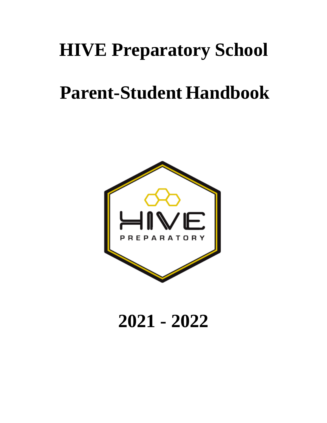# **HIVE Preparatory School**

# **Parent-Student Handbook**



# **2021 - 2022**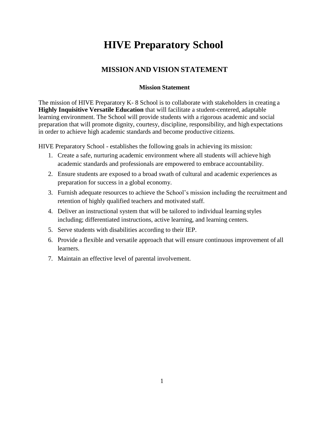# **HIVE Preparatory School**

#### **MISSION AND VISION STATEMENT**

#### **Mission Statement**

The mission of HIVE Preparatory K- 8 School is to collaborate with stakeholders in creating a **Highly Inquisitive Versatile Education** that will facilitate a student-centered, adaptable learning environment. The School will provide students with a rigorous academic and social preparation that will promote dignity, courtesy, discipline, responsibility, and high expectations in order to achieve high academic standards and become productive citizens.

HIVE Preparatory School - establishes the following goals in achieving its mission:

- 1. Create a safe, nurturing academic environment where all students will achieve high academic standards and professionals are empowered to embrace accountability.
- 2. Ensure students are exposed to a broad swath of cultural and academic experiences as preparation for success in a global economy.
- 3. Furnish adequate resources to achieve the School's mission including the recruitment and retention of highly qualified teachers and motivated staff.
- 4. Deliver an instructional system that will be tailored to individual learning styles including; differentiated instructions, active learning, and learning centers.
- 5. Serve students with disabilities according to their IEP.
- 6. Provide a flexible and versatile approach that will ensure continuous improvement of all learners.
- 7. Maintain an effective level of parental involvement.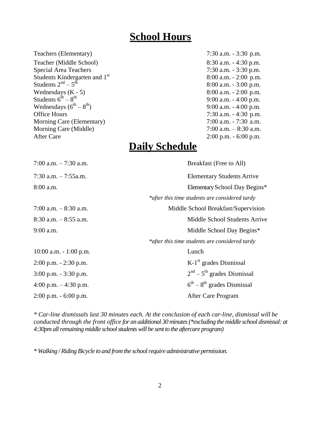## **School Hours**

Teachers (Elementary) 7:30 a.m. - 3:30 p.m.

Teacher (Middle School) 8:30 a.m. - 4:30 p.m. Special Area Teachers 7:30 a.m. - 3:30 p.m. Students Kindergarten and  $1<sup>st</sup>$  8:00 a.m. - 2:00 p.m. Students  $2<sup>nd</sup> - 5$ Students  $2^{nd} - 5^{th}$ <br>Wednesdays (K - 5) 8:00 a.m. - 3:00 p.m.<br>8:00 a.m. - 2:00 p.m. Students  $6^{th} - 8$ Wednesdays  $(6^{th} – 8)$ Office Hours 7:30 a.m. - 4:30 p.m. Morning Care (Elementary) 7:00 a.m. - 7:30 a.m. Morning Care (Middle) 7:00 a.m. – 8:30 a.m. After Care 2:00 p.m. - 6:00 p.m.

# 8:00 a.m. - 2:00 p.m. 9:00 a.m. - 4:00 p.m. 9:00 a.m.  $-$  4:00 p.m.

## **Daily Schedule**

7:00 a.m. – 7:30 a.m. Breakfast (Free to All) 7:30 a.m. – 7:55a.m. Elementary Students Arrive 8:00 a.m. Elementary School Day Begins\* *\*after this time students are considered tardy* 7:00 a.m. – 8:30 a.m. Middle School Breakfast/Supervision 8:30 a.m. – 8:55 a.m. Middle School Students Arrive 9:00 a.m. Middle School Day Begins\* *\*after this time students are considered tardy* 10:00 a.m. - 1:00 p.m. Lunch  $2:00$  p.m.  $-2:30$  p.m.  $K-1<sup>st</sup>$  grades Dismissal 3:00 p.m. - 3:30 p.m. 2 <sup>nd</sup> – 5<sup>th</sup> grades Dismissal 4:00 p.m.  $-4:30$  p.m. <sup>th</sup> – 8<sup>th</sup> grades Dismissal 2:00 p.m. - 6:00 p.m. After Care Program

*\* Car-line dismissals last 30 minutes each. At the conclusion of each car-line, dismissal will be conducted through the front office for an additional 30 minutes (\*excluding the middle school dismissal: at 4:30pm all remaining middle school students will be sent to the aftercare program)*

*\* Walking / Riding Bicycle to and from the school require administrative permission.*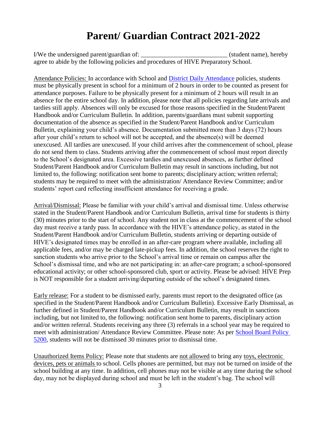# **Parent/ Guardian Contract 2021-2022**

I/We the undersigned parent/guardian of:  $\blacksquare$  (student name), hereby agree to abide by the following policies and procedures of HIVE Preparatory School.

Attendance Policies: In accordance with School and [District Daily Attendance](http://www.neola.com/miamidade-fl/search/policies/po5200.htm) policies, students must be physically present in school for a minimum of 2 hours in order to be counted as present for attendance purposes. Failure to be physically present for a minimum of 2 hours will result in an absence for the entire school day. In addition, please note that all policies regarding late arrivals and tardies still apply. Absences will only be excused for those reasons specified in the Student/Parent Handbook and/or Curriculum Bulletin. In addition, parents/guardians must submit supporting documentation of the absence as specified in the Student/Parent Handbook and/or Curriculum Bulletin, explaining your child's absence. Documentation submitted more than 3 days (72) hours after your child's return to school will not be accepted, and the absence(s) will be deemed unexcused. All tardies are unexcused. If your child arrives after the commencement of school, please do not send them to class. Students arriving after the commencement of school must report directly to the School's designated area. Excessive tardies and unexcused absences, as further defined Student/Parent Handbook and/or Curriculum Bulletin may result in sanctions including, but not limited to, the following: notification sent home to parents; disciplinary action; written referral; students may be required to meet with the administration/ Attendance Review Committee; and/or students' report card reflecting insufficient attendance for receiving a grade.

Arrival/Dismissal: Please be familiar with your child's arrival and dismissal time. Unless otherwise stated in the Student/Parent Handbook and/or Curriculum Bulletin, arrival time for students is thirty (30) minutes prior to the start of school. Any student not in class at the commencement of the school day must receive a tardy pass. In accordance with the HIVE's attendance policy, as stated in the Student/Parent Handbook and/or Curriculum Bulletin, students arriving or departing outside of HIVE's designated times may be enrolled in an after-care program where available, including all applicable fees, and/or may be charged late-pickup fees. In addition, the school reserves the right to sanction students who arrive prior to the School's arrival time or remain on campus after the School's dismissal time, and who are not participating in: an after-care program; a school-sponsored educational activity; or other school-sponsored club, sport or activity. Please be advised: HIVE Prep is NOT responsible for a student arriving/departing outside of the school's designated times.

Early release: For a student to be dismissed early, parents must report to the designated office (as specified in the Student/Parent Handbook and/or Curriculum Bulletin). Excessive Early Dismissal, as further defined in Student/Parent Handbook and/or Curriculum Bulletin, may result in sanctions including, but not limited to, the following: notification sent home to parents, disciplinary action and/or written referral. Students receiving any three (3) referrals in a school year may be required to meet with administration/ Attendance Review Committee. Please note: As per [School Board Policy](http://www.neola.com/miamidade-fl/search/policies/po5200.htm)  [5200,](http://www.neola.com/miamidade-fl/search/policies/po5200.htm) students will not be dismissed 30 minutes prior to dismissal time.

Unauthorized Items Policy: Please note that students are not allowed to bring any toys, electronic devices, pets or animals to school. Cells phones are permitted, but may not be turned on inside of the school building at any time. In addition, cell phones may not be visible at any time during the school day, may not be displayed during school and must be left in the student's bag. The school will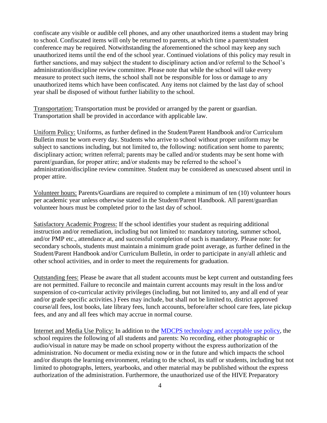confiscate any visible or audible cell phones, and any other unauthorized items a student may bring to school. Confiscated items will only be returned to parents, at which time a parent/student conference may be required. Notwithstanding the aforementioned the school may keep any such unauthorized items until the end of the school year. Continued violations of this policy may result in further sanctions, and may subject the student to disciplinary action and/or referral to the School's administration/discipline review committee. Please note that while the school will take every measure to protect such items, the school shall not be responsible for loss or damage to any unauthorized items which have been confiscated. Any items not claimed by the last day of school year shall be disposed of without further liability to the school.

Transportation: Transportation must be provided or arranged by the parent or guardian. Transportation shall be provided in accordance with applicable law.

Uniform Policy: Uniforms, as further defined in the Student/Parent Handbook and/or Curriculum Bulletin must be worn every day. Students who arrive to school without proper uniform may be subject to sanctions including, but not limited to, the following: notification sent home to parents; disciplinary action; written referral; parents may be called and/or students may be sent home with parent/guardian, for proper attire; and/or students may be referred to the school's administration/discipline review committee. Student may be considered as unexcused absent until in proper attire.

Volunteer hours: Parents/Guardians are required to complete a minimum of ten (10) volunteer hours per academic year unless otherwise stated in the Student/Parent Handbook. All parent/guardian volunteer hours must be completed prior to the last day of school.

Satisfactory Academic Progress: If the school identifies your student as requiring additional instruction and/or remediation, including but not limited to: mandatory tutoring, summer school, and/or PMP etc., attendance at, and successful completion of such is mandatory. Please note: for secondary schools, students must maintain a minimum grade point average, as further defined in the Student/Parent Handbook and/or Curriculum Bulletin, in order to participate in any/all athletic and other school activities, and in order to meet the requirements for graduation.

Outstanding fees: Please be aware that all student accounts must be kept current and outstanding fees are not permitted. Failure to reconcile and maintain current accounts may result in the loss and/or suspension of co-curricular activity privileges (including, but not limited to, any and all end of year and/or grade specific activities.) Fees may include, but shall not be limited to, district approved course/all fees, lost books, late library fees, lunch accounts, before/after school care fees, late pickup fees, and any and all fees which may accrue in normal course.

Internet and Media Use Policy: In addition to the [MDCPS technology and acceptable use policy,](http://www.dadeschools.net/technology/acceptable_use_policy.htm) the school requires the following of all students and parents: No recording, either photographic or audio/visual in nature may be made on school property without the express authorization of the administration. No document or media existing now or in the future and which impacts the school and/or disrupts the learning environment, relating to the school, its staff or students, including but not limited to photographs, letters, yearbooks, and other material may be published without the express authorization of the administration. Furthermore, the unauthorized use of the HIVE Preparatory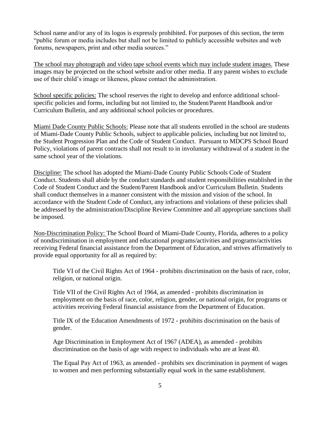School name and/or any of its logos is expressly prohibited. For purposes of this section, the term "public forum or media includes but shall not be limited to publicly accessible websites and web forums, newspapers, print and other media sources."

The school may photograph and video tape school events which may include student images. These images may be projected on the school website and/or other media. If any parent wishes to exclude use of their child's image or likeness, please contact the administration.

School specific policies: The school reserves the right to develop and enforce additional schoolspecific policies and forms, including but not limited to, the Student/Parent Handbook and/or Curriculum Bulletin, and any additional school policies or procedures.

Miami Dade County Public Schools: Please note that all students enrolled in the school are students of Miami-Dade County Public Schools, subject to applicable policies, including but not limited to, the Student Progression Plan and the Code of Student Conduct. Pursuant to MDCPS School Board Policy, violations of parent contracts shall not result to in involuntary withdrawal of a student in the same school year of the violations.

Discipline: The school has adopted the Miami-Dade County Public Schools Code of Student Conduct. Students shall abide by the conduct standards and student responsibilities established in the Code of Student Conduct and the Student/Parent Handbook and/or Curriculum Bulletin. Students shall conduct themselves in a manner consistent with the mission and vision of the school. In accordance with the Student Code of Conduct, any infractions and violations of these policies shall be addressed by the administration/Discipline Review Committee and all appropriate sanctions shall be imposed.

Non-Discrimination Policy: The School Board of Miami-Dade County, Florida, adheres to a policy of nondiscrimination in employment and educational programs/activities and programs/activities receiving Federal financial assistance from the Department of Education, and strives affirmatively to provide equal opportunity for all as required by:

Title VI of the Civil Rights Act of 1964 - prohibits discrimination on the basis of race, color, religion, or national origin.

Title VII of the Civil Rights Act of 1964, as amended - prohibits discrimination in employment on the basis of race, color, religion, gender, or national origin, for programs or activities receiving Federal financial assistance from the Department of Education.

Title IX of the Education Amendments of 1972 - prohibits discrimination on the basis of gender.

Age Discrimination in Employment Act of 1967 (ADEA), as amended - prohibits discrimination on the basis of age with respect to individuals who are at least 40.

The Equal Pay Act of 1963, as amended - prohibits sex discrimination in payment of wages to women and men performing substantially equal work in the same establishment.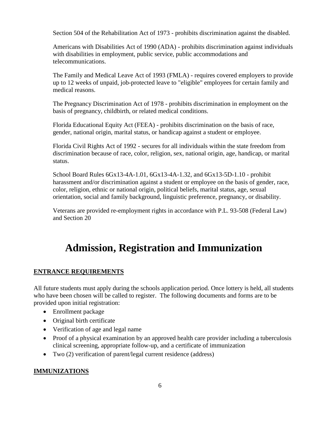Section 504 of the Rehabilitation Act of 1973 - prohibits discrimination against the disabled.

Americans with Disabilities Act of 1990 (ADA) - prohibits discrimination against individuals with disabilities in employment, public service, public accommodations and telecommunications.

The Family and Medical Leave Act of 1993 (FMLA) - requires covered employers to provide up to 12 weeks of unpaid, job-protected leave to "eligible" employees for certain family and medical reasons.

The Pregnancy Discrimination Act of 1978 - prohibits discrimination in employment on the basis of pregnancy, childbirth, or related medical conditions.

Florida Educational Equity Act (FEEA) - prohibits discrimination on the basis of race, gender, national origin, marital status, or handicap against a student or employee.

Florida Civil Rights Act of 1992 - secures for all individuals within the state freedom from discrimination because of race, color, religion, sex, national origin, age, handicap, or marital status.

School Board Rules 6Gx13-4A-1.01, 6Gx13-4A-1.32, and 6Gx13-5D-1.10 - prohibit harassment and/or discrimination against a student or employee on the basis of gender, race, color, religion, ethnic or national origin, political beliefs, marital status, age, sexual orientation, social and family background, linguistic preference, pregnancy, or disability.

Veterans are provided re-employment rights in accordance with P.L. 93-508 (Federal Law) and Section 20

# **Admission, Registration and Immunization**

#### **ENTRANCE REQUIREMENTS**

All future students must apply during the schools application period. Once lottery is held, all students who have been chosen will be called to register. The following documents and forms are to be provided upon initial registration:

- Enrollment package
- Original birth certificate
- Verification of age and legal name
- Proof of a physical examination by an approved health care provider including a tuberculosis clinical screening, appropriate follow-up, and a certificate of immunization
- Two (2) verification of parent/legal current residence (address)

#### **IMMUNIZATIONS**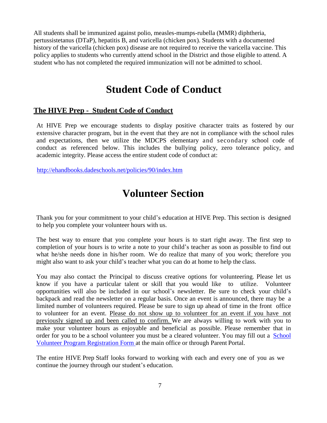All students shall be immunized against polio, measles-mumps-rubella (MMR) diphtheria, pertussistetanus (DTaP), hepatitis B, and varicella (chicken pox). Students with a documented history of the varicella (chicken pox) disease are not required to receive the varicella vaccine. This policy applies to students who currently attend school in the District and those eligible to attend. A student who has not completed the required immunization will not be admitted to school.

## **Student Code of Conduct**

#### **The HIVE Prep - Student Code of Conduct**

At HIVE Prep we encourage students to display positive character traits as fostered by our extensive character program, but in the event that they are not in compliance with the school rules and expectations, then we utilize the MDCPS elementary and secondary school code of conduct as referenced below. This includes the bullying policy, zero tolerance policy, and academic integrity. Please access the entire student code of conduct at:

<http://ehandbooks.dadeschools.net/policies/90/index.htm>

# **Volunteer Section**

Thank you for your commitment to your child's education at HIVE Prep. This section is designed to help you complete your volunteer hours with us.

The best way to ensure that you complete your hours is to start right away. The first step to completion of your hours is to write a note to your child's teacher as soon as possible to find out what he/she needs done in his/her room. We do realize that many of you work; therefore you might also want to ask your child's teacher what you can do at home to help the class.

You may also contact the Principal to discuss creative options for volunteering. Please let us know if you have a particular talent or skill that you would like to utilize. Volunteer opportunities will also be included in our school's newsletter. Be sure to check your child's backpack and read the newsletter on a regular basis. Once an event is announced, there may be a limited number of volunteers required. Please be sure to sign up ahead of time in the front office to volunteer for an event. Please do not show up to volunteer for an event if you have not previously signed up and been called to confirm. We are always willing to work with you to make your volunteer hours as enjoyable and beneficial as possible. Please remember that in order for you to be a school volunteer you must be a cleared volunteer. You may fill out a [School](http://forms.dadeschools.net/webpdf/1764.pdf) [Volunteer Program Registration Form a](http://forms.dadeschools.net/webpdf/1764.pdf)t the main office or through Parent Portal.

The entire HIVE Prep Staff looks forward to working with each and every one of you as we continue the journey through our student's education.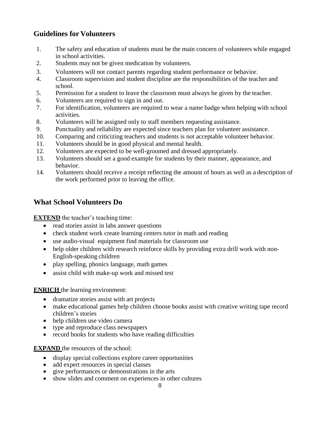#### **Guidelines for Volunteers**

- 1. The safety and education of students must be the main concern of volunteers while engaged in school activities.
- 2. Students may not be given medication by volunteers.
- 3. Volunteers will not contact parents regarding student performance or behavior.
- 4. Classroom supervision and student discipline are the responsibilities of the teacher and school.
- 5. Permission for a student to leave the classroom must always be given by the teacher.
- 6. Volunteers are required to sign in and out.
- 7. For identification, volunteers are required to wear a name badge when helping with school activities.
- 8. Volunteers will be assigned only to staff members requesting assistance.
- 9. Punctuality and reliability are expected since teachers plan for volunteer assistance.
- 10. Comparing and criticizing teachers and students is not acceptable volunteer behavior.
- 11. Volunteers should be in good physical and mental health.
- 12. Volunteers are expected to be well-groomed and dressed appropriately.
- 13. Volunteers should set a good example for students by their manner, appearance, and behavior.
- 14. Volunteers should receive a receipt reflecting the amount of hours as well as a description of the work performed prior to leaving the office.

#### **What School Volunteers Do**

**EXTEND** the teacher's teaching time:

- read stories assist in labs answer questions
- check student work create learning centers tutor in math and reading
- use audio-visual equipment find materials for classroom use
- help older children with research reinforce skills by providing extra drill work with non-English-speaking children
- play spelling, phonics language, math games
- assist child with make-up work and missed test

#### **ENRICH** the learning environment:

- dramatize stories assist with art projects
- make educational games help children choose books assist with creative writing tape record children's stories
- help children use video camera
- type and reproduce class newspapers
- record books for students who have reading difficulties

**EXPAND** the resources of the school:

- display special collections explore career opportunities
- add expert resources in special classes
- give performances or demonstrations in the arts
- show slides and comment on experiences in other cultures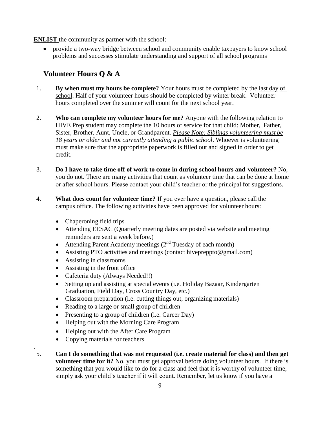**ENLIST** the community as partner with the school:

 provide a two-way bridge between school and community enable taxpayers to know school problems and successes stimulate understanding and support of all school programs

#### **Volunteer Hours Q & A**

- 1. **By when must my hours be complete?** Your hours must be completed by the last day of school. Half of your volunteer hours should be completed by winter break. Volunteer hours completed over the summer will count for the next school year.
- 2. **Who can complete my volunteer hours for me?** Anyone with the following relation to HIVE Prep student may complete the 10 hours of service for that child: Mother, Father, Sister, Brother, Aunt, Uncle, or Grandparent. *Please Note: Siblings volunteering must be 18 years or older and not currently attending a public school*. Whoever is volunteering must make sure that the appropriate paperwork is filled out and signed in order to get credit.
- 3. **Do I have to take time off of work to come in during school hours and volunteer?** No, you do not. There are many activities that count as volunteer time that can be done at home or after school hours. Please contact your child's teacher or the principal for suggestions.
- 4. **What does count for volunteer time?** If you ever have a question, please call the campus office. The following activities have been approved for volunteer hours:
	- Chaperoning field trips
	- Attending EESAC (Quarterly meeting dates are posted via website and meeting reminders are sent a week before.)
	- Attending Parent Academy meetings  $(2<sup>nd</sup> Tuesday of each month)$
	- Assisting PTO activities and meetings (contact hivepreppto@gmail.com)
	- Assisting in classrooms
	- Assisting in the front office
	- Cafeteria duty (Always Needed!!)
	- Setting up and assisting at special events (i.e. Holiday Bazaar, Kindergarten Graduation, Field Day, Cross Country Day, etc.)
	- Classroom preparation (i.e. cutting things out, organizing materials)
	- Reading to a large or small group of children
	- Presenting to a group of children (i.e. Career Day)
	- Helping out with the Morning Care Program
	- Helping out with the After Care Program
	- Copying materials for teachers

.

5. **Can I do something that was not requested (i.e. create material for class) and then get volunteer time for it?** No, you must get approval before doing volunteer hours. If there is something that you would like to do for a class and feel that it is worthy of volunteer time, simply ask your child's teacher if it will count. Remember, let us know if you have a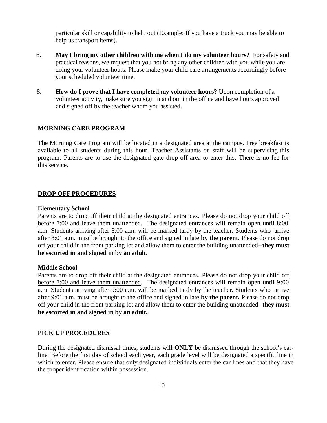particular skill or capability to help out (Example: If you have a truck you may be able to help us transport items).

- 6. **May I bring my other children with me when I do my volunteer hours?** For safety and practical reasons, we request that you not bring any other children with you while you are doing your volunteer hours. Please make your child care arrangements accordingly before your scheduled volunteer time.
- 8. **How do I prove that I have completed my volunteer hours?** Upon completion of a volunteer activity, make sure you sign in and out in the office and have hours approved and signed off by the teacher whom you assisted.

#### **MORNING CARE PROGRAM**

The Morning Care Program will be located in a designated area at the campus. Free breakfast is available to all students during this hour. Teacher Assistants on staff will be supervising this program. Parents are to use the designated gate drop off area to enter this. There is no fee for this service.

#### **DROP OFF PROCEDURES**

#### **Elementary School**

Parents are to drop off their child at the designated entrances. Please do not drop your child off before 7:00 and leave them unattended. The designated entrances will remain open until 8:00 a.m. Students arriving after 8:00 a.m. will be marked tardy by the teacher. Students who arrive after 8:01 a.m. must be brought to the office and signed in late **by the parent.** Please do not drop off your child in the front parking lot and allow them to enter the building unattended--**they must be escorted in and signed in by an adult.**

#### **Middle School**

Parents are to drop off their child at the designated entrances. Please do not drop your child off before 7:00 and leave them unattended. The designated entrances will remain open until 9:00 a.m. Students arriving after 9:00 a.m. will be marked tardy by the teacher. Students who arrive after 9:01 a.m. must be brought to the office and signed in late **by the parent.** Please do not drop off your child in the front parking lot and allow them to enter the building unattended--**they must be escorted in and signed in by an adult.**

#### **PICK UP PROCEDURES**

During the designated dismissal times, students will **ONLY** be dismissed through the school's carline. Before the first day of school each year, each grade level will be designated a specific line in which to enter. Please ensure that only designated individuals enter the car lines and that they have the proper identification within possession.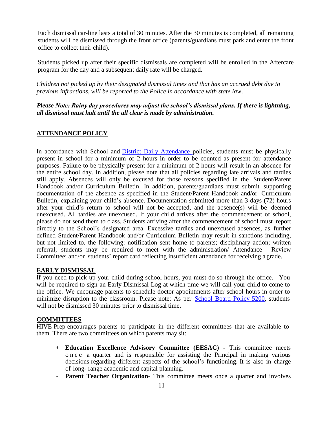Each dismissal car-line lasts a total of 30 minutes. After the 30 minutes is completed, all remaining students will be dismissed through the front office (parents/guardians must park and enter the front office to collect their child).

Students picked up after their specific dismissals are completed will be enrolled in the Aftercare program for the day and a subsequent daily rate will be charged.

*Children not picked up by their designated dismissal times and that has an accrued debt due to previous infractions, will be reported to the Police in accordance with state law*.

*Please Note: Rainy day procedures may adjust the school's dismissal plans. If there is lightning, all dismissal must halt until the all clear is made by administration.*

#### **ATTENDANCE POLICY**

In accordance with School and District Daily [Attendance](http://www.neola.com/miamidade-fl/search/policies/po5200.htm) policies, students must be physically present in school for a minimum of 2 hours in order to be counted as present for attendance purposes. Failure to be physically present for a minimum of 2 hours will result in an absence for the entire school day. In addition, please note that all policies regarding late arrivals and tardies still apply. Absences will only be excused for those reasons specified in the Student/Parent Handbook and/or Curriculum Bulletin. In addition, parents/guardians must submit supporting documentation of the absence as specified in the Student/Parent Handbook and/or Curriculum Bulletin, explaining your child's absence. Documentation submitted more than 3 days (72) hours after your child's return to school will not be accepted, and the absence(s) will be deemed unexcused. All tardies are unexcused. If your child arrives after the commencement of school, please do not send them to class. Students arriving after the commencement of school must report directly to the School's designated area. Excessive tardies and unexcused absences, as further defined Student/Parent Handbook and/or Curriculum Bulletin may result in sanctions including, but not limited to, the following: notification sent home to parents; disciplinary action; written referral; students may be required to meet with the administration/ Attendance Review Committee; and/or students' report card reflecting insufficient attendance for receiving a grade.

#### **EARLY DISMISSAL**

If you need to pick up your child during school hours, you must do so through the office. You will be required to sign an Early Dismissal Log at which time we will call your child to come to the office. We encourage parents to schedule doctor appointments after school hours in order to minimize disruption to the classroom. Please note: As per [School](http://www.neola.com/miamidade-fl/search/policies/po5200.htm) Board Policy 5200, students will not be dismissed 30 minutes prior to dismissal time**.**

#### **COMMITTEES**

HIVE Prep encourages parents to participate in the different committees that are available to them. There are two committees on which parents may sit:

- **Education Excellence Advisory Committee (EESAC)**  This committee meets o n c e a quarter and is responsible for assisting the Principal in making various decisions regarding different aspects of the school's functioning. It is also in charge of long- range academic and capital planning.
- **Parent Teacher Organization** This committee meets once a quarter and involves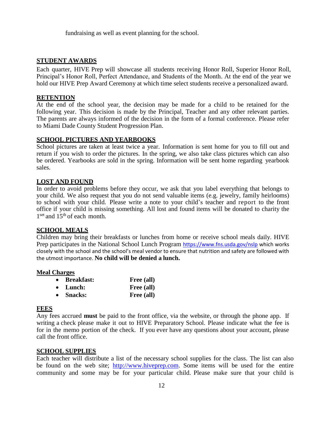fundraising as well as event planning for the school.

#### **STUDENT AWARDS**

Each quarter, HIVE Prep will showcase all students receiving Honor Roll, Superior Honor Roll, Principal's Honor Roll, Perfect Attendance, and Students of the Month. At the end of the year we hold our HIVE Prep Award Ceremony at which time select students receive a personalized award.

#### **RETENTION**

At the end of the school year, the decision may be made for a child to be retained for the following year. This decision is made by the Principal, Teacher and any other relevant parties. The parents are always informed of the decision in the form of a formal conference. Please refer to Miami Dade County Student Progression Plan.

#### **SCHOOL PICTURES AND YEARBOOKS**

School pictures are taken at least twice a year. Information is sent home for you to fill out and return if you wish to order the pictures. In the spring, we also take class pictures which can also be ordered. Yearbooks are sold in the spring. Information will be sent home regarding yearbook sales.

#### **LOST AND FOUND**

In order to avoid problems before they occur, we ask that you label everything that belongs to your child. We also request that you do not send valuable items (e.g. jewelry, family heirlooms) to school with your child. Please write a note to your child's teacher and report to the front office if your child is missing something. All lost and found items will be donated to charity the 1<sup>set</sup> and 15<sup>th</sup> of each month.

#### **SCHOOL MEALS**

Children may bring their breakfasts or lunches from home or receive school meals daily. HIVE Prep participates in the National School Lunch Program <https://www.fns.usda.gov/nslp> which works closely with the school and the school's meal vendor to ensure that nutrition and safety are followed with the utmost importance. **No child will be denied a lunch.**

#### **Meal Charges**

| • Breakfast:     | Free (all) |
|------------------|------------|
| $\bullet$ Lunch: | Free (all) |
| • Snacks:        | Free (all) |

#### **FEES**

Any fees accrued **must** be paid to the front office, via the website, or through the phone app. If writing a check please make it out to HIVE Preparatory School. Please indicate what the fee is for in the memo portion of the check. If you ever have any questions about your account, please call the front office.

#### **SCHOOL SUPPLIES**

Each teacher will distribute a list of the necessary school supplies for the class. The list can also be found on the web site; [http://www.hiveprep.com.](http://www.hiveprep.com/) Some items will be used for the entire community and some may be for your particular child. Please make sure that your child is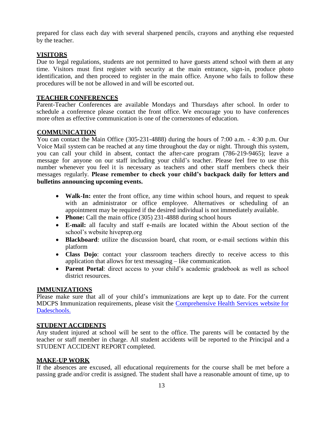prepared for class each day with several sharpened pencils, crayons and anything else requested by the teacher.

#### **VISITORS**

Due to legal regulations, students are not permitted to have guests attend school with them at any time. Visitors must first register with security at the main entrance, sign-in, produce photo identification, and then proceed to register in the main office. Anyone who fails to follow these procedures will be not be allowed in and will be escorted out.

#### **TEACHER CONFERENCES**

Parent-Teacher Conferences are available Mondays and Thursdays after school. In order to schedule a conference please contact the front office. We encourage you to have conferences more often as effective communication is one of the cornerstones of education.

#### **COMMUNICATION**

You can contact the Main Office (305-231-4888) during the hours of 7:00 a.m. - 4:30 p.m. Our Voice Mail system can be reached at any time throughout the day or night. Through this system, you can call your child in absent, contact the after-care program (786-219-9465); leave a message for anyone on our staff including your child's teacher. Please feel free to use this number whenever you feel it is necessary as teachers and other staff members check their messages regularly. **Please remember to check your child's backpack daily for letters and bulletins announcing upcoming events.**

- **Walk-In:** enter the front office, any time within school hours, and request to speak with an administrator or office employee. Alternatives or scheduling of an appointment may be required if the desired individual is not immediately available.
- **Phone:** Call the main office (305) 231-4888 during school hours
- **E-mail:** all faculty and staff e-mails are located within the About section of the school's website hiveprep.org
- **Blackboard**: utilize the discussion board, chat room, or e-mail sections within this platform
- **Class Dojo**: contact your classroom teachers directly to receive access to this application that allows for text messaging – like communication.
- **Parent Portal**: direct access to your child's academic gradebook as well as school district resources.

#### **IMMUNIZATIONS**

Please make sure that all of your child's immunizations are kept up to date. For the current MDCPS Immunization requirements, please visit the [Comprehensive Health Services website](http://chs.dadeschools.net/immune_require.asp) for [Dadeschools.](http://chs.dadeschools.net/immune_require.asp)

#### **STUDENT ACCIDENTS**

Any student injured at school will be sent to the office. The parents will be contacted by the teacher or staff member in charge. All student accidents will be reported to the Principal and a STUDENT ACCIDENT REPORT completed.

#### **MAKE-UP WORK**

If the absences are excused, all educational requirements for the course shall be met before a passing grade and/or credit is assigned. The student shall have a reasonable amount of time, up to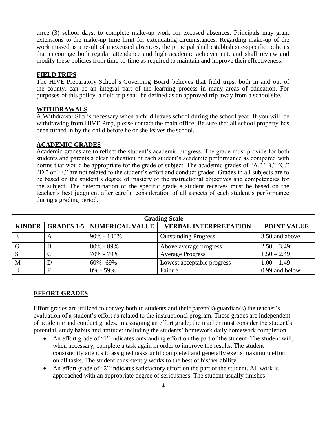three (3) school days, to complete make-up work for excused absences. Principals may grant extensions to the make-up time limit for extenuating circumstances. Regarding make-up of the work missed as a result of unexcused absences, the principal shall establish site-specific policies that encourage both regular attendance and high academic achievement, and shall review and modify these policies from time-to-time as required to maintain and improve their effectiveness.

#### **FIELD TRIPS**

The HIVE Preparatory School's Governing Board believes that field trips, both in and out of the county, can be an integral part of the learning process in many areas of education. For purposes of this policy, a field trip shall be defined as an approved trip away from a school site.

#### **WITHDRAWALS**

A Withdrawal Slip is necessary when a child leaves school during the school year. If you will be withdrawing from HIVE Prep, please contact the main office. Be sure that all school property has been turned in by the child before he or she leaves the school.

#### **ACADEMIC GRADES**

Academic grades are to reflect the student's academic progress. The grade must provide for both students and parents a clear indication of each student's academic performance as compared with norms that would be appropriate for the grade or subject. The academic grades of "A," "B," "C," "D," or "F," are not related to the student's effort and conduct grades. Grades in all subjects are to be based on the student's degree of mastery of the instructional objectives and competencies for the subject. The determination of the specific grade a student receives must be based on the teacher's best judgment after careful consideration of all aspects of each student's performance during a grading period.

| <b>Grading Scale</b> |              |                                       |                              |                    |  |
|----------------------|--------------|---------------------------------------|------------------------------|--------------------|--|
|                      |              | KINDER   GRADES 1-5   NUMERICAL VALUE | <b>VERBAL INTERPRETATION</b> | <b>POINT VALUE</b> |  |
| E                    | $\mathsf{A}$ | $90\% - 100\%$                        | <b>Outstanding Progress</b>  | 3.50 and above     |  |
| G                    | В            | $80\% - 89\%$                         | Above average progress       | $2.50 - 3.49$      |  |
| S                    |              | 70% - 79%                             | <b>Average Progress</b>      | $1.50 - 2.49$      |  |
| M                    |              | 60%-69%                               | Lowest acceptable progress   | $1.00 - 1.49$      |  |
|                      |              | $0\% - 59\%$                          | Failure                      | 0.99 and below     |  |

#### **EFFORT GRADES**

Effort grades are utilized to convey both to students and their parent(s)/guardian(s) the teacher's evaluation of a student's effort as related to the instructional program. These grades are independent of academic and conduct grades. In assigning an effort grade, the teacher must consider the student's potential, study habits and attitude; including the students' homework daily homework completion.

- An effort grade of "1" indicates outstanding effort on the part of the student. The student will, when necessary, complete a task again in order to improve the results. The student consistently attends to assigned tasks until completed and generally exerts maximum effort on all tasks. The student consistently works to the best of his/her ability.
- An effort grade of "2" indicates satisfactory effort on the part of the student. All work is approached with an appropriate degree of seriousness. The student usually finishes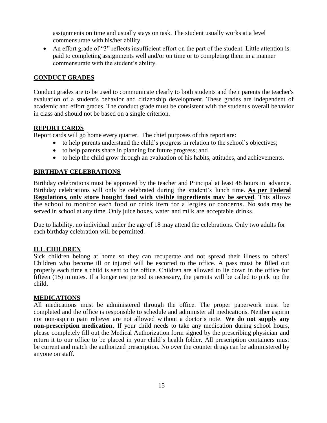assignments on time and usually stays on task. The student usually works at a level commensurate with his/her ability.

 An effort grade of "3" reflects insufficient effort on the part of the student. Little attention is paid to completing assignments well and/or on time or to completing them in a manner commensurate with the student's ability.

#### **CONDUCT GRADES**

Conduct grades are to be used to communicate clearly to both students and their parents the teacher's evaluation of a student's behavior and citizenship development. These grades are independent of academic and effort grades. The conduct grade must be consistent with the student's overall behavior in class and should not be based on a single criterion.

#### **REPORT CARDS**

Report cards will go home every quarter. The chief purposes of this report are:

- to help parents understand the child's progress in relation to the school's objectives;
- to help parents share in planning for future progress; and
- to help the child grow through an evaluation of his habits, attitudes, and achievements.

#### **BIRTHDAY CELEBRATIONS**

Birthday celebrations must be approved by the teacher and Principal at least 48 hours in advance. Birthday celebrations will only be celebrated during the student's lunch time. **As per Federal Regulations, only store bought food with visible ingredients may be served**. This allows the school to monitor each food or drink item for allergies or concerns. No soda may be served in school at any time. Only juice boxes, water and milk are acceptable drinks.

Due to liability, no individual under the age of 18 may attend the celebrations. Only two adults for each birthday celebration will be permitted.

#### **ILL CHILDREN**

Sick children belong at home so they can recuperate and not spread their illness to others! Children who become ill or injured will be escorted to the office. A pass must be filled out properly each time a child is sent to the office. Children are allowed to lie down in the office for fifteen (15) minutes. If a longer rest period is necessary, the parents will be called to pick up the child.

#### **MEDICATIONS**

All medications must be administered through the office. The proper paperwork must be completed and the office is responsible to schedule and administer all medications. Neither aspirin nor non-aspirin pain reliever are not allowed without a doctor's note. **We do not supply any non-prescription medication.** If your child needs to take any medication during school hours, please completely fill out the Medical Authorization form signed by the prescribing physician and return it to our office to be placed in your child's health folder. All prescription containers must be current and match the authorized prescription. No over the counter drugs can be administered by anyone on staff.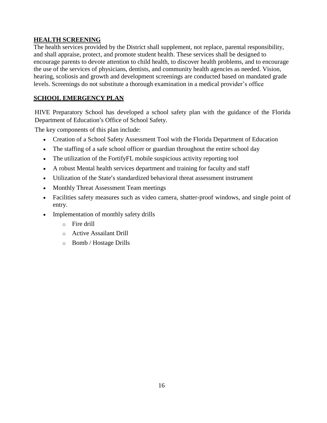#### **HEALTH SCREENING**

The health services provided by the District shall supplement, not replace, parental responsibility, and shall appraise, protect, and promote student health. These services shall be designed to encourage parents to devote attention to child health, to discover health problems, and to encourage the use of the services of physicians, dentists, and community health agencies as needed. Vision, hearing, scoliosis and growth and development screenings are conducted based on mandated grade levels. Screenings do not substitute a thorough examination in a medical provider's office

#### **SCHOOL EMERGENCY PLAN**

HIVE Preparatory School has developed a school safety plan with the guidance of the Florida Department of Education's Office of School Safety.

The key components of this plan include:

- Creation of a School Safety Assessment Tool with the Florida Department of Education
- The staffing of a safe school officer or guardian throughout the entire school day
- The utilization of the FortifyFL mobile suspicious activity reporting tool
- A robust Mental health services department and training for faculty and staff
- Utilization of the State's standardized behavioral threat assessment instrument
- Monthly Threat Assessment Team meetings
- Facilities safety measures such as video camera, shatter-proof windows, and single point of entry.
- Implementation of monthly safety drills
	- o Fire drill
	- o Active Assailant Drill
	- o Bomb / Hostage Drills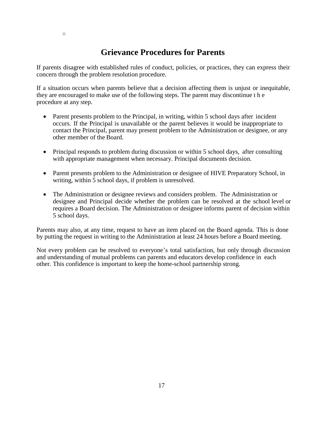### **Grievance Procedures for Parents**

If parents disagree with established rules of conduct, policies, or practices, they can express their concern through the problem resolution procedure.

If a situation occurs when parents believe that a decision affecting them is unjust or inequitable, they are encouraged to make use of the following steps. The parent may discontinue t h e procedure at any step.

- Parent presents problem to the Principal, in writing, within 5 school days after incident occurs. If the Principal is unavailable or the parent believes it would be inappropriate to contact the Principal, parent may present problem to the Administration or designee, or any other member of the Board.
- Principal responds to problem during discussion or within 5 school days, after consulting with appropriate management when necessary. Principal documents decision.
- Parent presents problem to the Administration or designee of HIVE Preparatory School, in writing, within 5 school days, if problem is unresolved.
- The Administration or designee reviews and considers problem. The Administration or designee and Principal decide whether the problem can be resolved at the school level or requires a Board decision. The Administration or designee informs parent of decision within 5 school days.

Parents may also, at any time, request to have an item placed on the Board agenda. This is done by putting the request in writing to the Administration at least 24 hours before a Board meeting.

Not every problem can be resolved to everyone's total satisfaction, but only through discussion and understanding of mutual problems can parents and educators develop confidence in each other. This confidence is important to keep the home-school partnership strong.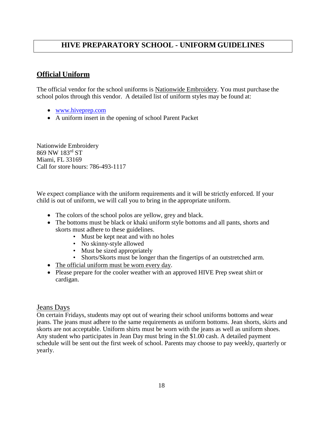#### **HIVE PREPARATORY SCHOOL - UNIFORM GUIDELINES**

#### **Official Uniform**

The official vendor for the school uniforms is Nationwide Embroidery. You must purchase the school polos through this vendor. A detailed list of uniform styles may be found at:

- [www.hiveprep.c](http://www.charterschool.com/)om
- A uniform insert in the opening of school Parent Packet

Nationwide Embroidery 869 NW 183rd ST Miami, FL 33169 Call for store hours: 786-493-1117

We expect compliance with the uniform requirements and it will be strictly enforced. If your child is out of uniform, we will call you to bring in the appropriate uniform.

- The colors of the school polos are yellow, grey and black.
- The bottoms must be black or khaki uniform style bottoms and all pants, shorts and skorts must adhere to these guidelines.
	- Must be kept neat and with no holes
	- No skinny-style allowed
	- Must be sized appropriately
	- Shorts/Skorts must be longer than the fingertips of an outstretched arm.
- The official uniform must be worn every day.
- Please prepare for the cooler weather with an approved HIVE Prep sweat shirt or cardigan.

#### Jeans Days

On certain Fridays, students may opt out of wearing their school uniforms bottoms and wear jeans. The jeans must adhere to the same requirements as uniform bottoms. Jean shorts, skirts and skorts are not acceptable. Uniform shirts must be worn with the jeans as well as uniform shoes. Any student who participates in Jean Day must bring in the \$1.00 cash. A detailed payment schedule will be sent out the first week of school. Parents may choose to pay weekly, quarterly or yearly.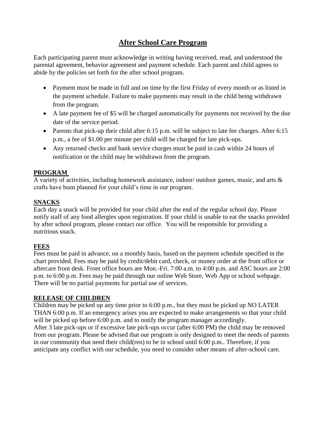#### **After School Care Program**

Each participating parent must acknowledge in writing having received, read, and understood the parental agreement, behavior agreement and payment schedule. Each parent and child agrees to abide by the policies set forth for the after school program.

- Payment must be made in full and on time by the first Friday of every month or as listed in the payment schedule. Failure to make payments may result in the child being withdrawn from the program.
- A late payment fee of \$5 will be charged automatically for payments not received by the due date of the service period.
- Parents that pick-up their child after 6:15 p.m. will be subject to late fee charges. After 6:15 p.m., a fee of \$1.00 per minute per child will be charged for late pick-ups.
- Any returned checks and bank service charges must be paid in cash within 24 hours of notification or the child may be withdrawn from the program.

#### **PROGRAM**

A variety of activities, including homework assistance, indoor/ outdoor games, music, and arts  $\&$ crafts have been planned for your child's time in our program.

#### **SNACKS**

Each day a snack will be provided for your child after the end of the regular school day. Please notify staff of any food allergies upon registration. If your child is unable to eat the snacks provided by after school program, please contact our office. You will be responsible for providing a nutritious snack.

#### **FEES**

Fees must be paid in advance, on a monthly basis, based on the payment schedule specified in the chart provided. Fees may be paid by credit/debit card, check, or money order at the front office or aftercare front desk. Front office hours are Mon.-Fri. 7:00 a.m. to 4:00 p.m. and ASC hours are 2:00 p.m. to 6:00 p.m. Fees may be paid through our online Web Store, Web App or school webpage. There will be no partial payments for partial use of services.

#### **RELEASE OF CHILDREN**

Children may be picked up any time prior to 6:00 p.m., but they must be picked up NO LATER THAN 6:00 p.m. If an emergency arises you are expected to make arrangements so that your child will be picked up before 6:00 p.m. and to notify the program manager accordingly. After 3 late pick-ups or if excessive late pick-ups occur (after 6:00 PM) the child may be removed from our program. Please be advised that our program is only designed to meet the needs of parents in our community that need their child(ren) to be in school until 6:00 p.m.. Therefore, if you anticipate any conflict with our schedule, you need to consider other means of after-school care.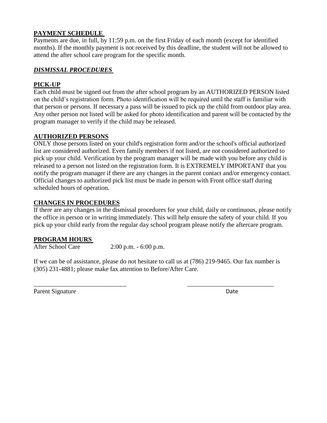#### **PAYMENT SCHEDULE**

Payments are due, in full, by 11:59 p.m. on the first Friday of each month (except for identified months). If the monthly payment is not received by this deadline, the student will not be allowed to attend the after school care program for the specific month.

#### *DISMISSAL PROCEDURES*

#### **PICK-UP**

Each child must be signed out from the after school program by an AUTHORIZED PERSON listed on the child's registration form. Photo identification will be required until the staff is familiar with that person or persons. If necessary a pass will be issued to pick up the child from outdoor play area. Any other person not listed will be asked for photo identification and parent will be contacted by the program manager to verify if the child may be released.

#### **AUTHORIZED PERSONS**

ONLY those persons listed on your child's registration form and/or the school's official authorized list are considered authorized. Even family members if not listed, are not considered authorized to pick up your child. Verification by the program manager will be made with you before any child is released to a person not listed on the registration form. It is EXTREMELY IMPORTANT that you notify the program manager if there are any changes in the parent contact and/or emergency contact. Official changes to authorized pick list must be made in person with Front office staff during scheduled hours of operation.

#### **CHANGES IN PROCEDURES**

If there are any changes in the dismissal procedures for your child, daily or continuous, please notify the office in person or in writing immediately. This will help ensure the safety of your child. If you pick up your child early from the regular day school program please notify the aftercare program.

#### **PROGRAM HOURS**

After School Care 2:00 p.m. - 6:00 p.m.

If we can be of assistance, please do not hesitate to call us at (786) 219-9465. Our fax number is (305) 231-4881; please make fax attention to Before/After Care.

\_\_\_\_\_\_\_\_\_\_\_\_\_\_\_\_\_\_\_\_\_\_\_\_\_\_\_\_\_ \_\_\_\_\_\_\_\_\_\_\_\_\_\_\_\_\_\_\_\_\_\_\_\_\_\_\_

Parent Signature Date Date Date Date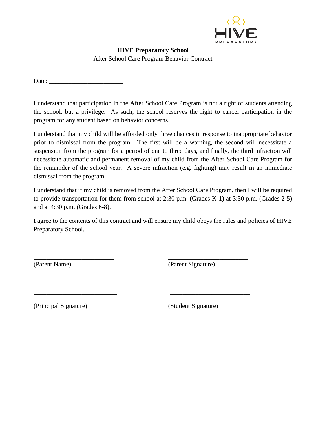

#### **HIVE Preparatory School** After School Care Program Behavior Contract

Date: \_\_\_\_\_\_\_\_\_\_\_\_\_\_\_\_\_\_\_\_\_\_\_

I understand that participation in the After School Care Program is not a right of students attending the school, but a privilege. As such, the school reserves the right to cancel participation in the program for any student based on behavior concerns.

I understand that my child will be afforded only three chances in response to inappropriate behavior prior to dismissal from the program. The first will be a warning, the second will necessitate a suspension from the program for a period of one to three days, and finally, the third infraction will necessitate automatic and permanent removal of my child from the After School Care Program for the remainder of the school year. A severe infraction (e.g. fighting) may result in an immediate dismissal from the program.

I understand that if my child is removed from the After School Care Program, then I will be required to provide transportation for them from school at 2:30 p.m. (Grades K-1) at 3:30 p.m. (Grades 2-5) and at 4:30 p.m. (Grades 6-8).

I agree to the contents of this contract and will ensure my child obeys the rules and policies of HIVE Preparatory School.

\_\_\_\_\_\_\_\_\_\_\_\_\_\_\_\_\_\_\_\_\_\_\_\_\_ \_\_\_\_\_\_\_\_\_\_\_\_\_\_\_\_\_\_\_\_\_\_\_\_\_

\_\_\_\_\_\_\_\_\_\_\_\_\_\_\_\_\_\_\_\_\_\_\_\_\_\_ \_\_\_\_\_\_\_\_\_\_\_\_\_\_\_\_\_\_\_\_\_\_\_\_\_

(Parent Name) (Parent Signature)

(Principal Signature) (Student Signature)